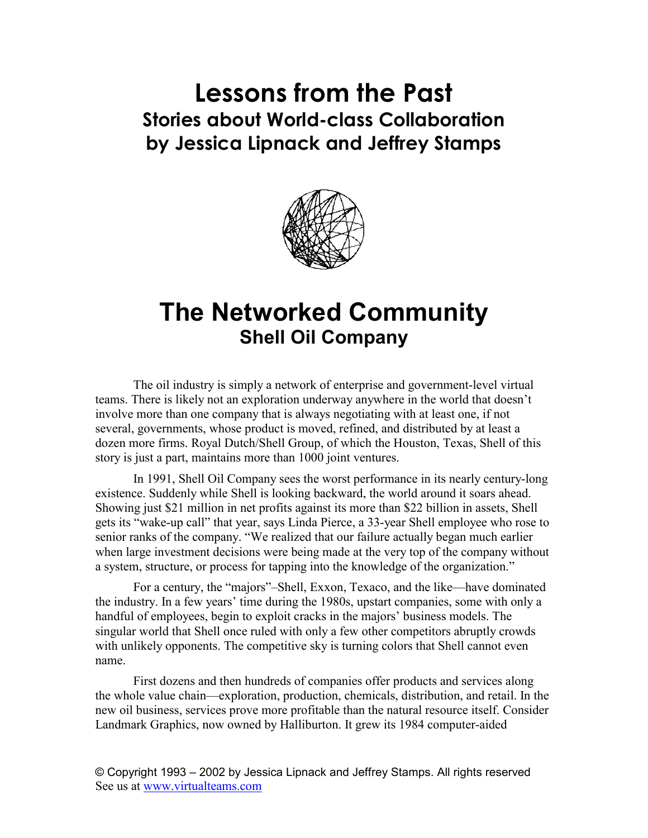## **Lessons from the Past Stories about World-class Collaboration by Jessica Lipnack and Jeffrey Stamps**



## **The Networked Community Shell Oil Company**

The oil industry is simply a network of enterprise and government-level virtual teams. There is likely not an exploration underway anywhere in the world that doesn't involve more than one company that is always negotiating with at least one, if not several, governments, whose product is moved, refined, and distributed by at least a dozen more firms. Royal Dutch/Shell Group, of which the Houston, Texas, Shell of this story is just a part, maintains more than 1000 joint ventures.

In 1991, Shell Oil Company sees the worst performance in its nearly century-long existence. Suddenly while Shell is looking backward, the world around it soars ahead. Showing just \$21 million in net profits against its more than \$22 billion in assets, Shell gets its "wake-up call" that year, says Linda Pierce, a 33-year Shell employee who rose to senior ranks of the company. "We realized that our failure actually began much earlier when large investment decisions were being made at the very top of the company without a system, structure, or process for tapping into the knowledge of the organization."

For a century, the "majors"–Shell, Exxon, Texaco, and the like—have dominated the industry. In a few years' time during the 1980s, upstart companies, some with only a handful of employees, begin to exploit cracks in the majors' business models. The singular world that Shell once ruled with only a few other competitors abruptly crowds with unlikely opponents. The competitive sky is turning colors that Shell cannot even name.

First dozens and then hundreds of companies offer products and services along the whole value chain—exploration, production, chemicals, distribution, and retail. In the new oil business, services prove more profitable than the natural resource itself. Consider Landmark Graphics, now owned by Halliburton. It grew its 1984 computer-aided

© Copyright 1993 – 2002 by Jessica Lipnack and Jeffrey Stamps. All rights reserved See us at www.virtualteams.com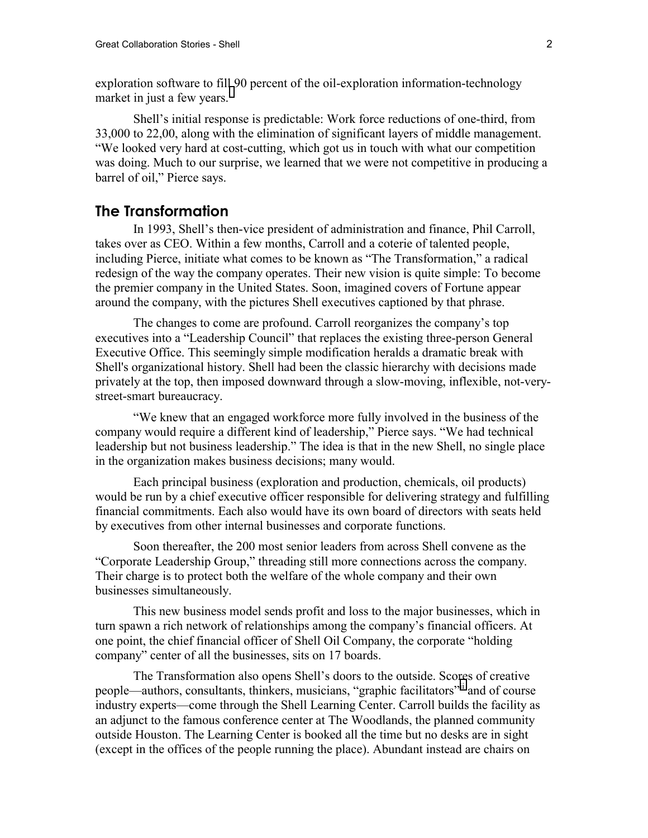exploration software to fill 90 percent of the oil-exploration information-technology marketin just a few years.<sup>i</sup>

Shell's initial response is predictable: Work force reductions of one-third, from 33,000 to 22,00, along with the elimination of significant layers of middle management. "We looked very hard at cost-cutting, which got us in touch with what our competition was doing. Much to our surprise, we learned that we were not competitive in producing a barrel of oil," Pierce says.

## **The Transformation**

In 1993, Shell's then-vice president of administration and finance, Phil Carroll, takes over as CEO. Within a few months, Carroll and a coterie of talented people, including Pierce, initiate what comes to be known as "The Transformation," a radical redesign of the way the company operates. Their new vision is quite simple: To become the premier company in the United States. Soon, imagined covers of Fortune appear around the company, with the pictures Shell executives captioned by that phrase.

The changes to come are profound. Carroll reorganizes the company's top executives into a "Leadership Council" that replaces the existing three-person General Executive Office. This seemingly simple modification heralds a dramatic break with Shell's organizational history. Shell had been the classic hierarchy with decisions made privately at the top, then imposed downward through a slow-moving, inflexible, not-verystreet-smart bureaucracy.

"We knew that an engaged workforce more fully involved in the business of the company would require a different kind of leadership," Pierce says. "We had technical leadership but not business leadership." The idea is that in the new Shell, no single place in the organization makes business decisions; many would.

Each principal business (exploration and production, chemicals, oil products) would be run by a chief executive officer responsible for delivering strategy and fulfilling financial commitments. Each also would have its own board of directors with seats held by executives from other internal businesses and corporate functions.

Soon thereafter, the 200 most senior leaders from across Shell convene as the "Corporate Leadership Group," threading still more connections across the company. Their charge is to protect both the welfare of the whole company and their own businesses simultaneously.

This new business model sends profit and loss to the major businesses, which in turn spawn a rich network of relationships among the company's financial officers. At one point, the chief financial officer of Shell Oil Company, the corporate "holding company" center of all the businesses, sits on 17 boards.

The Transformation also opens Shell's doors to the outside. Scores of creative people—authors, consultants, thinkers, musicians, "graphic facilitators"[ii](#page-5-0) and of course industry experts—come through the Shell Learning Center. Carroll builds the facility as an adjunct to the famous conference center at The Woodlands, the planned community outside Houston. The Learning Center is booked all the time but no desks are in sight (except in the offices of the people running the place). Abundant instead are chairs on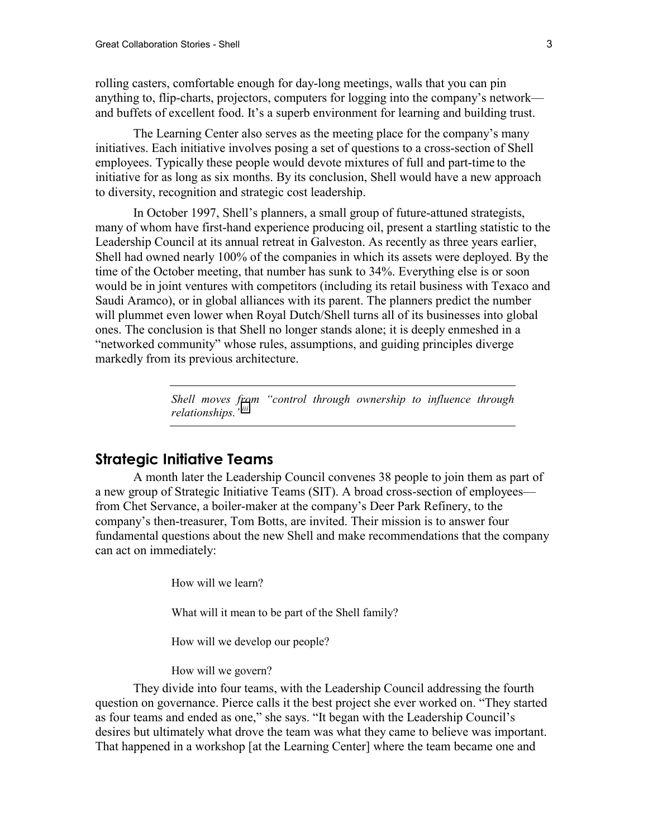rolling casters, comfortable enough for day-long meetings, walls that you can pin anything to, flip-charts, projectors, computers for logging into the company's network and buffets of excellent food. It's a superb environment for learning and building trust.

The Learning Center also serves as the meeting place for the company's many initiatives. Each initiative involves posing a set of questions to a cross-section of Shell employees. Typically these people would devote mixtures of full and part-time to the initiative for as long as six months. By its conclusion, Shell would have a new approach to diversity, recognition and strategic cost leadership.

In October 1997, Shell's planners, a small group of future-attuned strategists, many of whom have first-hand experience producing oil, present a startling statistic to the Leadership Council at its annual retreat in Galveston. As recently as three years earlier, Shell had owned nearly 100% of the companies in which its assets were deployed. By the time of the October meeting, that number has sunk to 34%. Everything else is or soon would be in joint ventures with competitors (including its retail business with Texaco and Saudi Aramco), or in global alliances with its parent. The planners predict the number will plummet even lower when Royal Dutch/Shell turns all of its businesses into global ones. The conclusion is that Shell no longer stands alone; it is deeply enmeshed in a "networked community" whose rules, assumptions, and guiding principles diverge markedly from its previous architecture.

> *Shell moves from "control through ownership to influence through relationships."[iii](#page-5-0)*

## **Strategic Initiative Teams**

A month later the Leadership Council convenes 38 people to join them as part of a new group of Strategic Initiative Teams (SIT). A broad cross-section of employees from Chet Servance, a boiler-maker at the company's Deer Park Refinery, to the company's then-treasurer, Tom Botts, are invited. Their mission is to answer four fundamental questions about the new Shell and make recommendations that the company can act on immediately:

How will we learn?

What will it mean to be part of the Shell family?

How will we develop our people?

How will we govern?

They divide into four teams, with the Leadership Council addressing the fourth question on governance. Pierce calls it the best project she ever worked on. "They started as four teams and ended as one," she says. "It began with the Leadership Council's desires but ultimately what drove the team was what they came to believe was important. That happened in a workshop [at the Learning Center] where the team became one and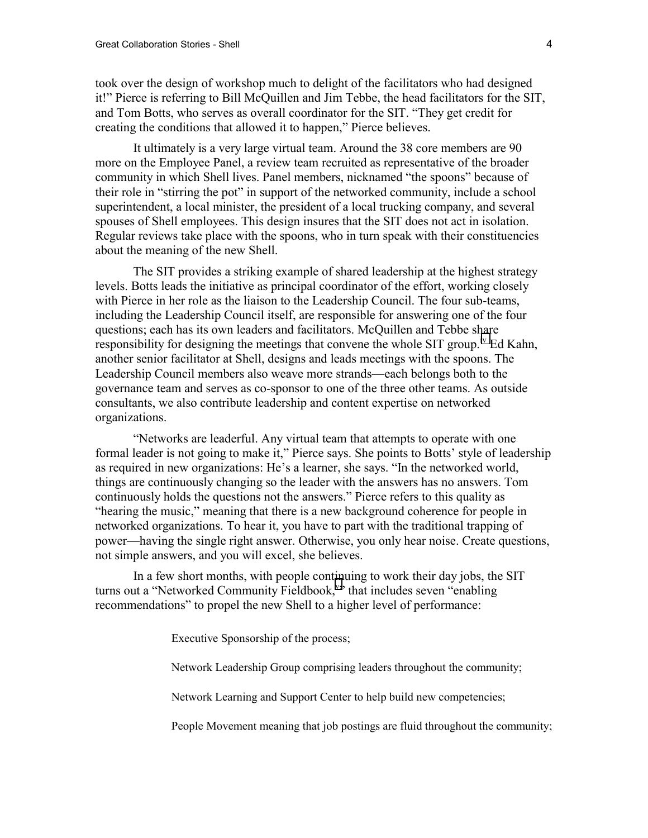took over the design of workshop much to delight of the facilitators who had designed it!" Pierce is referring to Bill McQuillen and Jim Tebbe, the head facilitators for the SIT, and Tom Botts, who serves as overall coordinator for the SIT. "They get credit for creating the conditions that allowed it to happen," Pierce believes.

It ultimately is a very large virtual team. Around the 38 core members are 90 more on the Employee Panel, a review team recruited as representative of the broader community in which Shell lives. Panel members, nicknamed "the spoons" because of their role in "stirring the pot" in support of the networked community, include a school superintendent, a local minister, the president of a local trucking company, and several spouses of Shell employees. This design insures that the SIT does not act in isolation. Regular reviews take place with the spoons, who in turn speak with their constituencies about the meaning of the new Shell.

The SIT provides a striking example of shared leadership at the highest strategy levels. Botts leads the initiative as principal coordinator of the effort, working closely with Pierce in her role as the liaison to the Leadership Council. The four sub-teams, including the Leadership Council itself, are responsible for answering one of the four questions; each has its own leaders and facilitators. McQuillen and Tebbe share responsibility for designing the meetings that convene the whole SIT group.<sup>iv</sup> Ed Kahn, another senior facilitator at Shell, designs and leads meetings with the spoons. The Leadership Council members also weave more strands—each belongs both to the governance team and serves as co-sponsor to one of the three other teams. As outside consultants, we also contribute leadership and content expertise on networked organizations.

"Networks are leaderful. Any virtual team that attempts to operate with one formal leader is not going to make it," Pierce says. She points to Botts' style of leadership as required in new organizations: He's a learner, she says. "In the networked world, things are continuously changing so the leader with the answers has no answers. Tom continuously holds the questions not the answers." Pierce refers to this quality as "hearing the music," meaning that there is a new background coherence for people in networked organizations. To hear it, you have to part with the traditional trapping of power—having the single right answer. Otherwise, you only hear noise. Create questions, not simple answers, and you will excel, she believes.

In a few short months, with people continuing to work their day jobs, the SIT turns out a "Networked Community Fieldbook," that includes se[v](#page-5-0)en "enabling recommendations" to propel the new Shell to a higher level of performance:

Executive Sponsorship of the process;

Network Leadership Group comprising leaders throughout the community;

Network Learning and Support Center to help build new competencies;

People Movement meaning that job postings are fluid throughout the community;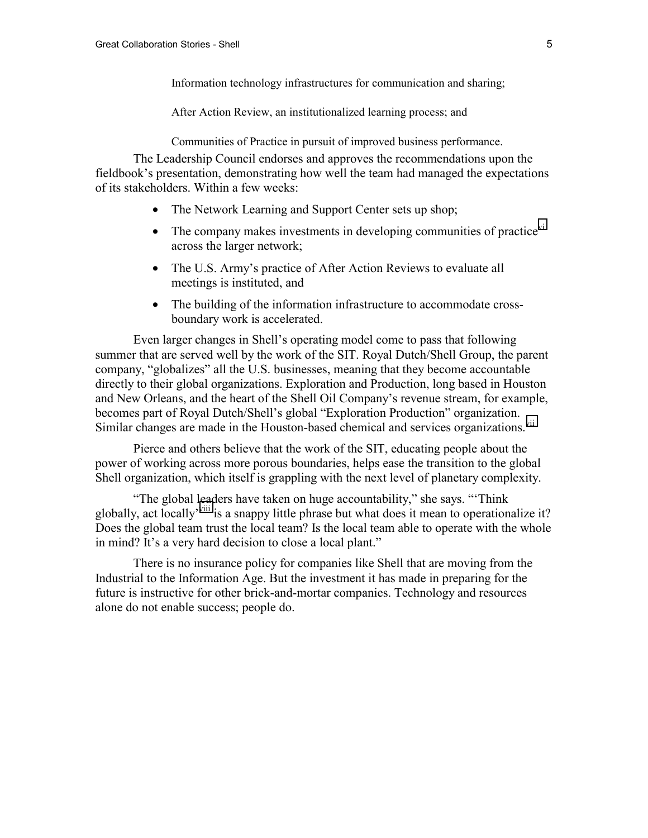Information technology infrastructures for communication and sharing;

After Action Review, an institutionalized learning process; and

Communities of Practice in pursuit of improved business performance.

The Leadership Council endorses and approves the recommendations upon the fieldbook's presentation, demonstrating how well the team had managed the expectations of its stakeholders. Within a few weeks:

- The Network Learning and Support Center sets up shop;
- The company makes investments in developing communities of practice $v<sup>T</sup>$ across the larger network;
- The U.S. Army's practice of After Action Reviews to evaluate all meetings is instituted, and
- The building of the information infrastructure to accommodate crossboundary work is accelerated.

Even larger changes in Shell's operating model come to pass that following summer that are served well by the work of the SIT. Royal Dutch/Shell Group, the parent company, "globalizes" all the U.S. businesses, meaning that they become accountable directly to their global organizations. Exploration and Production, long based in Houston and New Orleans, and the heart of the Shell Oil Company's revenue stream, for example, becomes part of Royal Dutch/Shell's global "Exploration Production" organization. Similar changes are made in the Houston-based chemical and services organizations.<sup>vii</sup>

Pierce and others believe that the work of the SIT, educating people about the power of working across more porous boundaries, helps ease the transition to the global Shell organization, which itself is grappling with the next level of planetary complexity.

"The global leaders have taken on huge accountability," she says. "'Think globally, act locally<sup>-viii</sup> is a snappy little phrase but what does it mean to operationalize it? Does the global team trust the local team? Is the local team able to operate with the whole in mind? It's a very hard decision to close a local plant."

There is no insurance policy for companies like Shell that are moving from the Industrial to the Information Age. But the investment it has made in preparing for the future is instructive for other brick-and-mortar companies. Technology and resources alone do not enable success; people do.